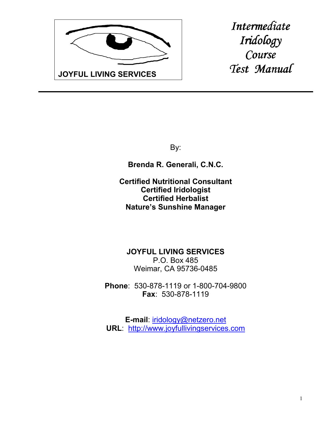

*Intermediate Iridology Iridology Course Test Manual Test* 

By:

**Brenda R. Generali, C.N.C.**

**Certified Nutritional Consultant Certified Iridologist Certified Herbalist Nature's Sunshine Manager**

**JOYFUL LIVING SERVICES** P.O. Box 485 Weimar, CA 95736-0485

**Phone**: 530-878-1119 or 1-800-704-9800 **Fax**: 530-878-1119

**E-mail**: iridology@netzero.net **URL**: http://www.joyfullivingservices.com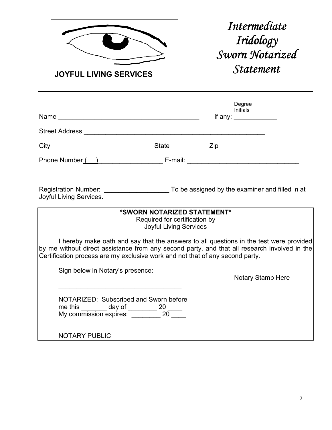

*Intermediate Iridology Iridology Sworn Notarized Notarized Statement Statement* 

|                                                                                                                                                                                                                                                                         |                                                                                               | Degree<br><b>Initials</b><br>if any: |  |
|-------------------------------------------------------------------------------------------------------------------------------------------------------------------------------------------------------------------------------------------------------------------------|-----------------------------------------------------------------------------------------------|--------------------------------------|--|
|                                                                                                                                                                                                                                                                         |                                                                                               |                                      |  |
|                                                                                                                                                                                                                                                                         |                                                                                               |                                      |  |
|                                                                                                                                                                                                                                                                         |                                                                                               |                                      |  |
| Joyful Living Services.                                                                                                                                                                                                                                                 |                                                                                               |                                      |  |
|                                                                                                                                                                                                                                                                         | *SWORN NOTARIZED STATEMENT*<br>Required for certification by<br><b>Joyful Living Services</b> |                                      |  |
| I hereby make oath and say that the answers to all questions in the test were provided<br>by me without direct assistance from any second party, and that all research involved in the<br>Certification process are my exclusive work and not that of any second party. |                                                                                               |                                      |  |
| Sign below in Notary's presence:                                                                                                                                                                                                                                        |                                                                                               | <b>Notary Stamp Here</b>             |  |
| NOTARIZED: Subscribed and Sworn before<br>me this _______ day of ________ 20 _____<br>My commission expires: ________ 20 ____                                                                                                                                           |                                                                                               |                                      |  |
| <b>NOTARY PUBLIC</b>                                                                                                                                                                                                                                                    |                                                                                               |                                      |  |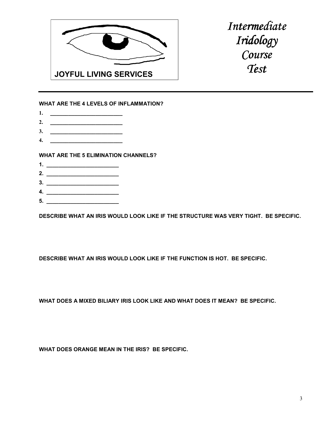

*Intermediate Iridology Iridology Course Course Test* 

## **WHAT ARE THE 4 LEVELS OF INFLAMMATION?**

- **1. \_\_\_\_\_\_\_\_\_\_\_\_\_\_\_\_\_\_\_\_\_\_\_\_**
- **2. \_\_\_\_\_\_\_\_\_\_\_\_\_\_\_\_\_\_\_\_\_\_\_\_**
- **3. \_\_\_\_\_\_\_\_\_\_\_\_\_\_\_\_\_\_\_\_\_\_\_\_ 4. \_\_\_\_\_\_\_\_\_\_\_\_\_\_\_\_\_\_\_\_\_\_\_\_**

**WHAT ARE THE 5 ELIMINATION CHANNELS?** 

- **1. \_\_\_\_\_\_\_\_\_\_\_\_\_\_\_\_\_\_\_\_\_\_\_\_**
- **2. \_\_\_\_\_\_\_\_\_\_\_\_\_\_\_\_\_\_\_\_\_\_\_\_**
- **3. \_\_\_\_\_\_\_\_\_\_\_\_\_\_\_\_\_\_\_\_\_\_\_\_**
- **4. \_\_\_\_\_\_\_\_\_\_\_\_\_\_\_\_\_\_\_\_\_\_\_\_**
- **5. \_\_\_\_\_\_\_\_\_\_\_\_\_\_\_\_\_\_\_\_\_\_\_\_**

**DESCRIBE WHAT AN IRIS WOULD LOOK LIKE IF THE STRUCTURE WAS VERY TIGHT. BE SPECIFIC.** 

**DESCRIBE WHAT AN IRIS WOULD LOOK LIKE IF THE FUNCTION IS HOT. BE SPECIFIC.** 

**WHAT DOES A MIXED BILIARY IRIS LOOK LIKE AND WHAT DOES IT MEAN? BE SPECIFIC.** 

**WHAT DOES ORANGE MEAN IN THE IRIS? BE SPECIFIC.**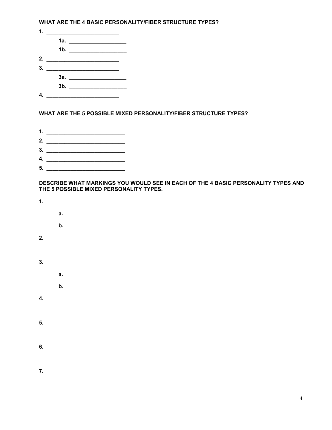**WHAT ARE THE 4 BASIC PERSONALITY/FIBER STRUCTURE TYPES?** 

| 1. $\qquad \qquad$                       |                     |  |  |
|------------------------------------------|---------------------|--|--|
|                                          |                     |  |  |
|                                          | 1b. $\qquad \qquad$ |  |  |
|                                          |                     |  |  |
| <u> 1980 - Jan Barbara Barat, manala</u> |                     |  |  |
|                                          |                     |  |  |
|                                          |                     |  |  |
|                                          |                     |  |  |

## **WHAT ARE THE 5 POSSIBLE MIXED PERSONALITY/FIBER STRUCTURE TYPES?**

**1. \_\_\_\_\_\_\_\_\_\_\_\_\_\_\_\_\_\_\_\_\_\_\_\_\_\_ 2. \_\_\_\_\_\_\_\_\_\_\_\_\_\_\_\_\_\_\_\_\_\_\_\_\_\_ 3. \_\_\_\_\_\_\_\_\_\_\_\_\_\_\_\_\_\_\_\_\_\_\_\_\_\_ 4. \_\_\_\_\_\_\_\_\_\_\_\_\_\_\_\_\_\_\_\_\_\_\_\_\_\_ 5. \_\_\_\_\_\_\_\_\_\_\_\_\_\_\_\_\_\_\_\_\_\_\_\_\_\_** 

## **DESCRIBE WHAT MARKINGS YOU WOULD SEE IN EACH OF THE 4 BASIC PERSONALITY TYPES AND THE 5 POSSIBLE MIXED PERSONALITY TYPES.**

**1.** 

- **a.**
- **b.**
- **2.**
- **3.** 
	- -

 **a.** 

- **b.**
- **4.**
- **5.**
- **6.**
- **7.**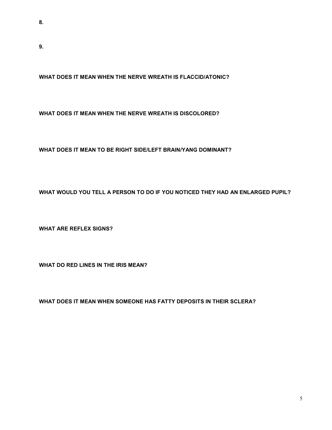**9.** 

**WHAT DOES IT MEAN WHEN THE NERVE WREATH IS FLACCID/ATONIC?** 

**WHAT DOES IT MEAN WHEN THE NERVE WREATH IS DISCOLORED?** 

**WHAT DOES IT MEAN TO BE RIGHT SIDE/LEFT BRAIN/YANG DOMINANT?** 

**WHAT WOULD YOU TELL A PERSON TO DO IF YOU NOTICED THEY HAD AN ENLARGED PUPIL?** 

**WHAT ARE REFLEX SIGNS?** 

**WHAT DO RED LINES IN THE IRIS MEAN?** 

**WHAT DOES IT MEAN WHEN SOMEONE HAS FATTY DEPOSITS IN THEIR SCLERA?**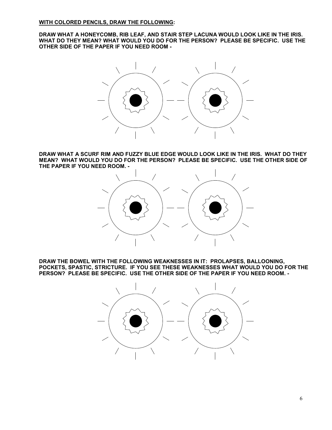**DRAW WHAT A HONEYCOMB, RIB LEAF, AND STAIR STEP LACUNA WOULD LOOK LIKE IN THE IRIS. WHAT DO THEY MEAN? WHAT WOULD YOU DO FOR THE PERSON? PLEASE BE SPECIFIC. USE THE OTHER SIDE OF THE PAPER IF YOU NEED ROOM -** 



**DRAW WHAT A SCURF RIM AND FUZZY BLUE EDGE WOULD LOOK LIKE IN THE IRIS. WHAT DO THEY MEAN? WHAT WOULD YOU DO FOR THE PERSON? PLEASE BE SPECIFIC. USE THE OTHER SIDE OF THE PAPER IF YOU NEED ROOM. -** 



**DRAW THE BOWEL WITH THE FOLLOWING WEAKNESSES IN IT: PROLAPSES, BALLOONING, POCKETS, SPASTIC, STRICTURE. IF YOU SEE THESE WEAKNESSES WHAT WOULD YOU DO FOR THE PERSON? PLEASE BE SPECIFIC. USE THE OTHER SIDE OF THE PAPER IF YOU NEED ROOM. -**